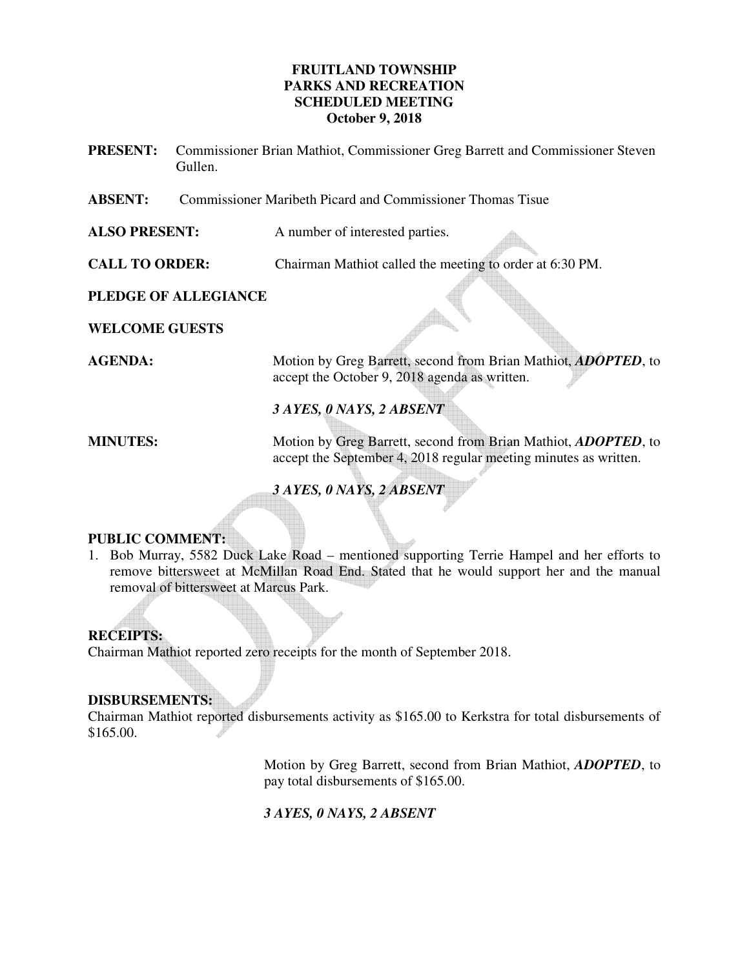# **FRUITLAND TOWNSHIP PARKS AND RECREATION SCHEDULED MEETING October 9, 2018**

- **PRESENT:** Commissioner Brian Mathiot, Commissioner Greg Barrett and Commissioner Steven Gullen.
- **ABSENT:** Commissioner Maribeth Picard and Commissioner Thomas Tisue

**ALSO PRESENT:** A number of interested parties.

**CALL TO ORDER:** Chairman Mathiot called the meeting to order at 6:30 PM.

# **PLEDGE OF ALLEGIANCE**

**WELCOME GUESTS** 

**AGENDA:** Motion by Greg Barrett, second from Brian Mathiot, *ADOPTED*, to accept the October 9, 2018 agenda as written.

*3 AYES, 0 NAYS, 2 ABSENT* 

**MINUTES:** Motion by Greg Barrett, second from Brian Mathiot, *ADOPTED*, to accept the September 4, 2018 regular meeting minutes as written.

*3 AYES, 0 NAYS, 2 ABSENT* 

# **PUBLIC COMMENT:**

1. Bob Murray, 5582 Duck Lake Road – mentioned supporting Terrie Hampel and her efforts to remove bittersweet at McMillan Road End. Stated that he would support her and the manual removal of bittersweet at Marcus Park.

# **RECEIPTS:**

Chairman Mathiot reported zero receipts for the month of September 2018.

# **DISBURSEMENTS:**

Chairman Mathiot reported disbursements activity as \$165.00 to Kerkstra for total disbursements of \$165.00.

> Motion by Greg Barrett, second from Brian Mathiot, *ADOPTED*, to pay total disbursements of \$165.00.

*3 AYES, 0 NAYS, 2 ABSENT*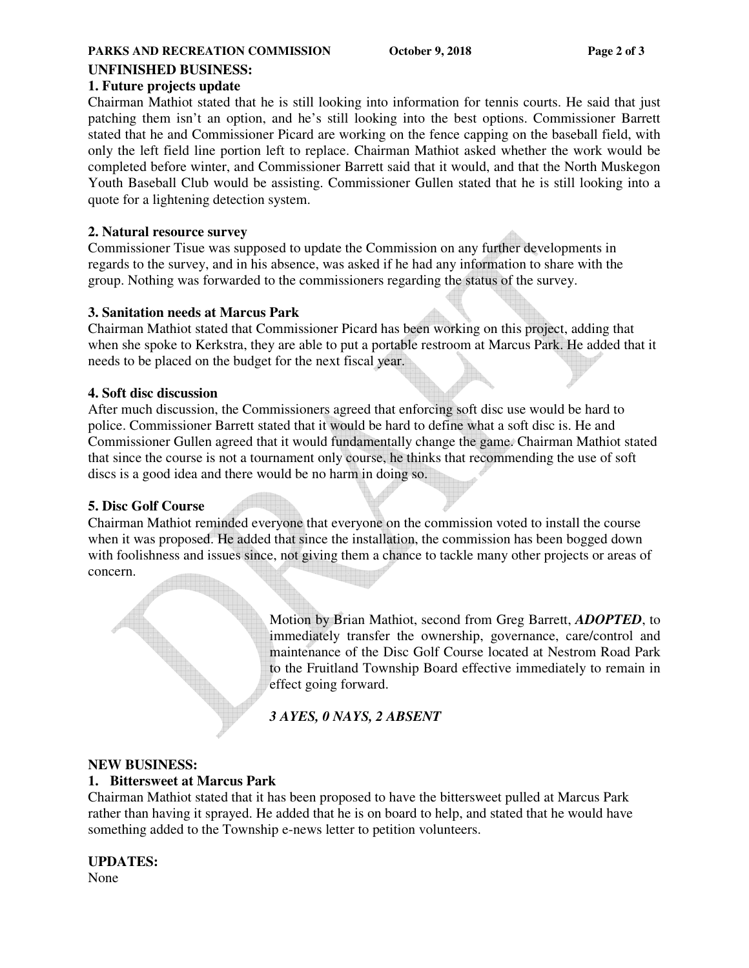#### **PARKS AND RECREATION COMMISSION** October 9, 2018 Page 2 of 3

### **UNFINISHED BUSINESS:**

### **1. Future projects update**

Chairman Mathiot stated that he is still looking into information for tennis courts. He said that just patching them isn't an option, and he's still looking into the best options. Commissioner Barrett stated that he and Commissioner Picard are working on the fence capping on the baseball field, with only the left field line portion left to replace. Chairman Mathiot asked whether the work would be completed before winter, and Commissioner Barrett said that it would, and that the North Muskegon Youth Baseball Club would be assisting. Commissioner Gullen stated that he is still looking into a quote for a lightening detection system.

### **2. Natural resource survey**

Commissioner Tisue was supposed to update the Commission on any further developments in regards to the survey, and in his absence, was asked if he had any information to share with the group. Nothing was forwarded to the commissioners regarding the status of the survey.

#### **3. Sanitation needs at Marcus Park**

Chairman Mathiot stated that Commissioner Picard has been working on this project, adding that when she spoke to Kerkstra, they are able to put a portable restroom at Marcus Park. He added that it needs to be placed on the budget for the next fiscal year.

### **4. Soft disc discussion**

After much discussion, the Commissioners agreed that enforcing soft disc use would be hard to police. Commissioner Barrett stated that it would be hard to define what a soft disc is. He and Commissioner Gullen agreed that it would fundamentally change the game. Chairman Mathiot stated that since the course is not a tournament only course, he thinks that recommending the use of soft discs is a good idea and there would be no harm in doing so.

# **5. Disc Golf Course**

Chairman Mathiot reminded everyone that everyone on the commission voted to install the course when it was proposed. He added that since the installation, the commission has been bogged down with foolishness and issues since, not giving them a chance to tackle many other projects or areas of concern.

> Motion by Brian Mathiot, second from Greg Barrett, *ADOPTED*, to immediately transfer the ownership, governance, care/control and maintenance of the Disc Golf Course located at Nestrom Road Park to the Fruitland Township Board effective immediately to remain in effect going forward.

*3 AYES, 0 NAYS, 2 ABSENT* 

# **NEW BUSINESS:**

#### **1. Bittersweet at Marcus Park**

Chairman Mathiot stated that it has been proposed to have the bittersweet pulled at Marcus Park rather than having it sprayed. He added that he is on board to help, and stated that he would have something added to the Township e-news letter to petition volunteers.

#### **UPDATES:**

None